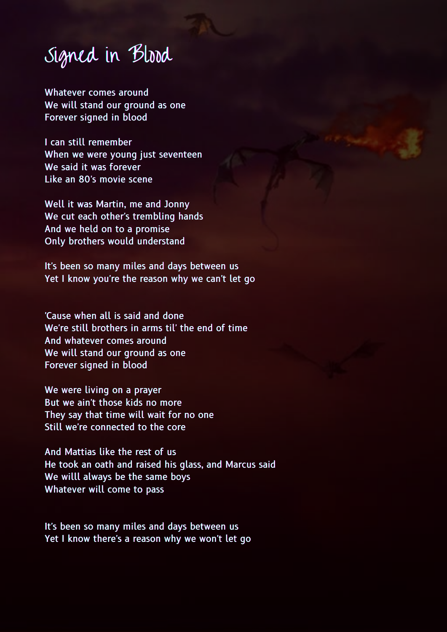## Signed in Blood

Whatever comes around We will stand our ground as one Forever signed in blood

I can still remember When we were young just seventeen We said it was forever Like an 80's movie scene

Well it was Martin, me and Jonny We cut each other's trembling hands And we held on to a promise Only brothers would understand

It's been so many miles and days between us Yet I know you're the reason why we can't let go

'Cause when all is said and done We're still brothers in arms til' the end of time And whatever comes around We will stand our ground as one Forever signed in blood

We were living on a prayer But we ain't those kids no more They say that time will wait for no one Still we're connected to the core

And Mattias like the rest of us He took an oath and raised his glass, and Marcus said We willl always be the same boys Whatever will come to pass

It's been so many miles and days between us Yet I know there's a reason why we won't let go